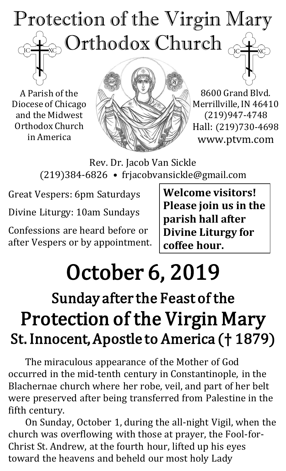# Protection of the Virgin Mary  $_{\odot}$  Orthodox Church  $_{\odot}$  $\overline{C}$

A Parish of the Diocese of Chicago and the Midwest Orthodox Church in America



8600 Grand Blvd. Merrillville, IN 46410 (219)947-4748 Hall: (219)730-4698 www.ptvm.com

Rev. Dr. Jacob Van Sickle (219)384-6826 • frjacobvansickle@gmail.com

Great Vespers: 6pm Saturdays

Divine Liturgy: 10am Sundays

Confessions are heard before or after Vespers or by appointment. **Welcome visitors! Please join us in the parish hall after Divine Liturgy for coffee hour.**

# October 6, 2019

# Sunday after the Feast of the Protection of the Virgin Mary St. Innocent, Apostle to America († 1879)

The miraculous appearance of the Mother of God occurred in the mid-tenth century in Constantinople, in the Blachernae church where her robe, veil, and part of her belt were preserved after being transferred from Palestine in the fifth century.

On Sunday, October 1, during the all-night Vigil, when the church was overflowing with those at prayer, the Fool-for-Christ St. Andrew, at the fourth hour, lifted up his eyes toward the heavens and beheld our most holy Lady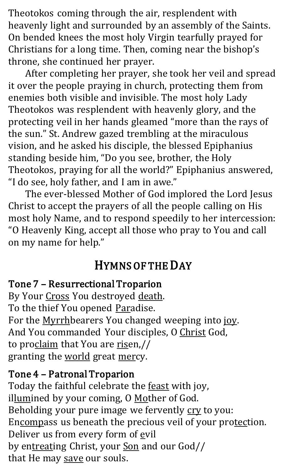Theotokos coming through the air, resplendent with heavenly light and surrounded by an assembly of the Saints. On bended knees the most holy Virgin tearfully prayed for Christians for a long time. Then, coming near the bishop's throne, she continued her prayer.

After completing her prayer, she took her veil and spread it over the people praying in church, protecting them from enemies both visible and invisible. The most holy Lady Theotokos was resplendent with heavenly glory, and the protecting veil in her hands gleamed "more than the rays of the sun." St. Andrew gazed trembling at the miraculous vision, and he asked his disciple, the blessed Epiphanius standing beside him, "Do you see, brother, the Holy Theotokos, praying for all the world?" Epiphanius answered, "I do see, holy father, and I am in awe."

The ever-blessed Mother of God implored the Lord Jesus Christ to accept the prayers of all the people calling on His most holy Name, and to respond speedily to her intercession: "O Heavenly King, accept all those who pray to You and call on my name for help."

# HYMNS OF THE DAY

#### Tone 7 – Resurrectional Troparion

By Your Cross You destroyed death. To the thief You opened Paradise. For the Myrrhbearers You changed weeping into joy. And You commanded Your disciples, O Christ God, to proclaim that You are risen,// granting the world great mercy.

#### Tone 4 – Patronal Troparion

Today the faithful celebrate the **feast** with joy, illumined by your coming, O Mother of God. Beholding your pure image we fervently cry to you: Encompass us beneath the precious veil of your protection. Deliver us from every form of evil by entreating Christ, your Son and our God// that He may save our souls.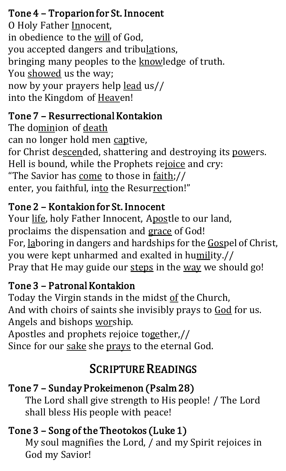# Tone 4 – Troparion for St. Innocent

O Holy Father Innocent, in obedience to the will of God, you accepted dangers and tribulations, bringing many peoples to the knowledge of truth. You showed us the way; now by your prayers help lead us// into the Kingdom of Heaven!

# Tone 7 – Resurrectional Kontakion

The dominion of death can no longer hold men captive, for Christ descended, shattering and destroying its powers. Hell is bound, while the Prophets rejoice and cry: "The Savior has come to those in faith;// enter, you faithful, into the Resurrection!"

# Tone 2 – Kontakion for St. Innocent

Your life, holy Father Innocent, Apostle to our land, proclaims the dispensation and grace of God! For, laboring in dangers and hardships for the Gospel of Christ, you were kept unharmed and exalted in humility.// Pray that He may guide our steps in the way we should go!

## Tone 3 – Patronal Kontakion

Today the Virgin stands in the midst of the Church, And with choirs of saints she invisibly prays to God for us. Angels and bishops worship.

Apostles and prophets rejoice together,// Since for our sake she prays to the eternal God.

# SCRIPTURE READINGS

# Tone 7 – Sunday Prokeimenon (Psalm 28)

The Lord shall give strength to His people! / The Lord shall bless His people with peace!

# Tone 3 – Song of the Theotokos (Luke 1)

My soul magnifies the Lord, / and my Spirit rejoices in God my Savior!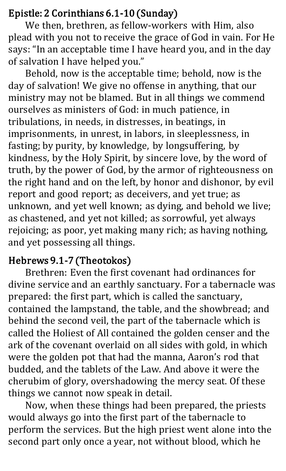#### Epistle: 2 Corinthians 6.1-10 (Sunday)

We then, brethren, as fellow-workers with Him, also plead with you not to receive the grace of God in vain. For He says: "In an acceptable time I have heard you, and in the day of salvation I have helped you."

Behold, now is the acceptable time; behold, now is the day of salvation! We give no offense in anything, that our ministry may not be blamed. But in all things we commend ourselves as ministers of God: in much patience, in tribulations, in needs, in distresses, in beatings, in imprisonments, in unrest, in labors, in sleeplessness, in fasting; by purity, by knowledge, by longsuffering, by kindness, by the Holy Spirit, by sincere love, by the word of truth, by the power of God, by the armor of righteousness on the right hand and on the left, by honor and dishonor, by evil report and good report; as deceivers, and yet true; as unknown, and yet well known; as dying, and behold we live; as chastened, and yet not killed; as sorrowful, yet always rejoicing; as poor, yet making many rich; as having nothing, and yet possessing all things.

#### Hebrews 9.1-7 (Theotokos)

 Brethren: Even the first covenant had ordinances for divine service and an earthly sanctuary. For a tabernacle was prepared: the first part, which is called the sanctuary, contained the lampstand, the table, and the showbread; and behind the second veil, the part of the tabernacle which is called the Holiest of All contained the golden censer and the ark of the covenant overlaid on all sides with gold, in which were the golden pot that had the manna, Aaron's rod that budded, and the tablets of the Law. And above it were the cherubim of glory, overshadowing the mercy seat. Of these things we cannot now speak in detail.

Now, when these things had been prepared, the priests would always go into the first part of the tabernacle to perform the services. But the high priest went alone into the second part only once a year, not without blood, which he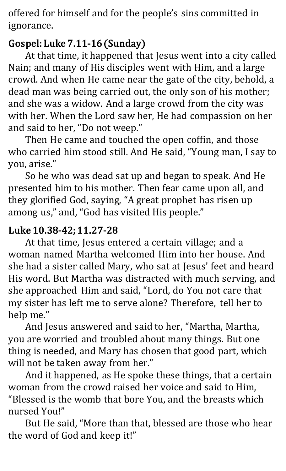offered for himself and for the people's sins committed in ignorance.

## Gospel: Luke 7.11-16 (Sunday)

At that time, it happened that Jesus went into a city called Nain; and many of His disciples went with Him, and a large crowd. And when He came near the gate of the city, behold, a dead man was being carried out, the only son of his mother; and she was a widow. And a large crowd from the city was with her. When the Lord saw her, He had compassion on her and said to her, "Do not weep."

Then He came and touched the open coffin, and those who carried him stood still. And He said, "Young man, I say to you, arise."

 So he who was dead sat up and began to speak. And He presented him to his mother. Then fear came upon all, and they glorified God, saying, "A great prophet has risen up among us," and, "God has visited His people."

## Luke 10.38-42; 11.27-28

At that time, Jesus entered a certain village; and a woman named Martha welcomed Him into her house. And she had a sister called Mary, who sat at Jesus' feet and heard His word. But Martha was distracted with much serving, and she approached Him and said, "Lord, do You not care that my sister has left me to serve alone? Therefore, tell her to help me."

And Jesus answered and said to her, "Martha, Martha, you are worried and troubled about many things. But one thing is needed, and Mary has chosen that good part, which will not be taken away from her."

And it happened, as He spoke these things, that a certain woman from the crowd raised her voice and said to Him, "Blessed is the womb that bore You, and the breasts which nursed You!"

But He said, "More than that, blessed are those who hear the word of God and keep it!"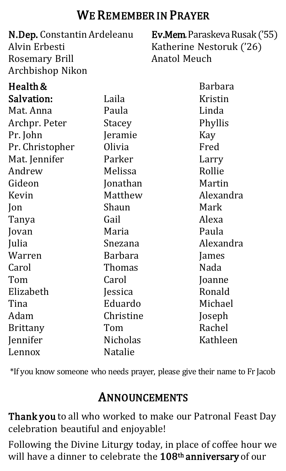# WE REMEMBER IN PRAYER

| N.Dep. Constantin Ardeleanu<br>Alvin Erbesti<br><b>Rosemary Brill</b> |                 | <b>Ev.Mem.</b> Paraskeva Rusak ('55)<br>Katherine Nestoruk ('26)<br><b>Anatol Meuch</b> |
|-----------------------------------------------------------------------|-----------------|-----------------------------------------------------------------------------------------|
|                                                                       |                 |                                                                                         |
| Health &                                                              |                 | <b>Barbara</b>                                                                          |
| Salvation:                                                            | Laila           | Kristin                                                                                 |
| Mat. Anna                                                             | Paula           | Linda                                                                                   |
| Archpr. Peter                                                         | <b>Stacey</b>   | Phyllis                                                                                 |
| Pr. John                                                              | Jeramie         | Kay                                                                                     |
| Pr. Christopher                                                       | Olivia          | Fred                                                                                    |
| Mat. Jennifer                                                         | Parker          | Larry                                                                                   |
| Andrew                                                                | Melissa         | Rollie                                                                                  |
| Gideon                                                                | Jonathan        | Martin                                                                                  |
| Kevin                                                                 | Matthew         | Alexandra                                                                               |
| Jon                                                                   | Shaun           | Mark                                                                                    |
| Tanya                                                                 | Gail            | Alexa                                                                                   |
| Jovan                                                                 | Maria           | Paula                                                                                   |
| Julia                                                                 | Snezana         | Alexandra                                                                               |
| Warren                                                                | Barbara         | James                                                                                   |
| Carol                                                                 | <b>Thomas</b>   | Nada                                                                                    |
| Tom                                                                   | Carol           | Joanne                                                                                  |
| Elizabeth                                                             | Jessica         | Ronald                                                                                  |
| Tina                                                                  | Eduardo         | Michael                                                                                 |
| Adam                                                                  | Christine       | Joseph                                                                                  |
| <b>Brittany</b>                                                       | Tom             | Rachel                                                                                  |
| Jennifer                                                              | <b>Nicholas</b> | Kathleen                                                                                |
| Lennox                                                                | <b>Natalie</b>  |                                                                                         |

\*If you know someone who needs prayer, please give their name to Fr Jacob

# ANNOUNCEMENTS

Thank you to all who worked to make our Patronal Feast Day celebration beautiful and enjoyable!

Following the Divine Liturgy today, in place of coffee hour we will have a dinner to celebrate the 108<sup>th</sup> anniversary of our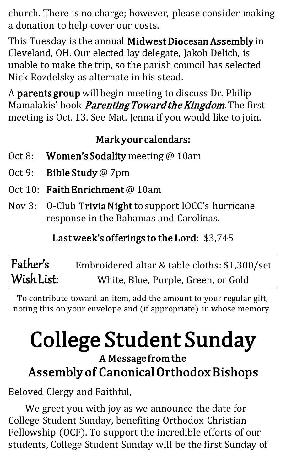church. There is no charge; however, please consider making a donation to help cover our costs.

This Tuesday is the annual Midwest Diocesan Assembly in Cleveland, OH. Our elected lay delegate, Jakob Delich, is unable to make the trip, so the parish council has selected Nick Rozdelsky as alternate in his stead.

A parents group will begin meeting to discuss Dr. Philip Mamalakis' book *Parenting Toward the Kingdom*. The first meeting is Oct. 13. See Mat. Jenna if you would like to join.

### Mark your calendars:

- Oct 8: Women's Sodality meeting @ 10am
- Oct 9: Bible Study @ 7pm
- Oct 10: Faith Enrichment @ 10am
- Nov 3: O-Club Trivia Night to support IOCC's hurricane response in the Bahamas and Carolinas.

## Last week's offerings to the Lord: \$3,745

Father's Wish List: Embroidered altar & table cloths: \$1,300/set White, Blue, Purple, Green, or Gold

To contribute toward an item, add the amount to your regular gift, noting this on your envelope and (if appropriate) in whose memory.

# College Student Sunday

# A Message from the Assembly of Canonical Orthodox Bishops

Beloved Clergy and Faithful,

We greet you with joy as we announce the date for College Student Sunday, benefiting Orthodox Christian Fellowship (OCF). To support the incredible efforts of our students, College Student Sunday will be the first Sunday of